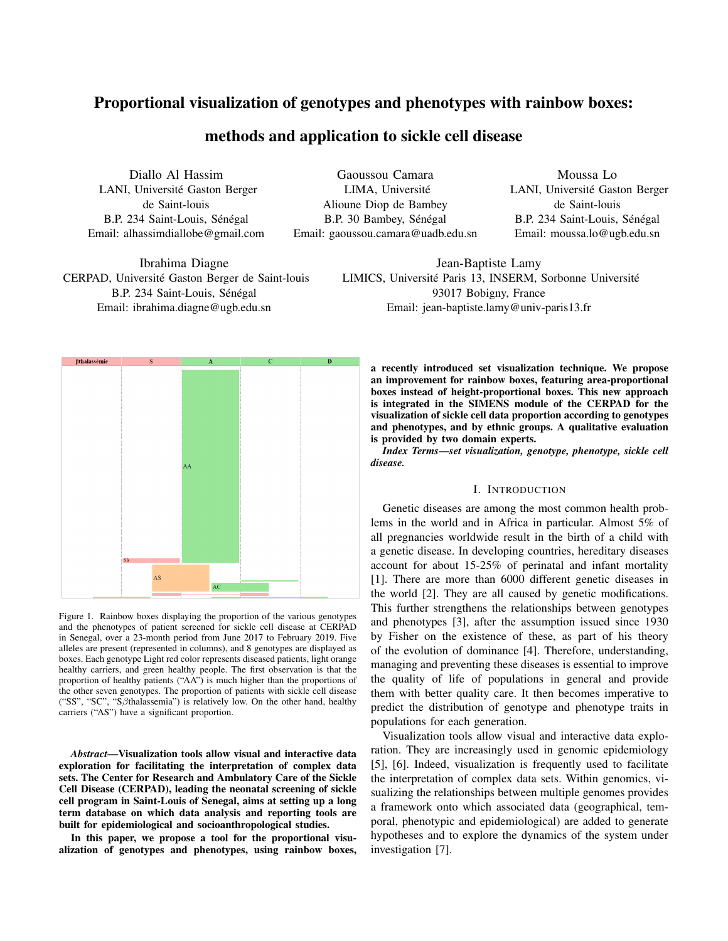# Proportional visualization of genotypes and phenotypes with rainbow boxes:

# methods and application to sickle cell disease

Diallo Al Hassim LANI, Université Gaston Berger de Saint-louis B.P. 234 Saint-Louis, Sénégal Email: alhassimdiallobe@gmail.com

Ibrahima Diagne CERPAD, Université Gaston Berger de Saint-louis B.P. 234 Saint-Louis, Sénégal Email: ibrahima.diagne@ugb.edu.sn

Gaoussou Camara LIMA, Université Alioune Diop de Bambey B.P. 30 Bambey, Sénégal Email: gaoussou.camara@uadb.edu.sn

Moussa Lo LANI, Université Gaston Berger de Saint-louis B.P. 234 Saint-Louis, Sénégal Email: moussa.lo@ugb.edu.sn

Jean-Baptiste Lamy LIMICS, Université Paris 13, INSERM, Sorbonne Université 93017 Bobigny, France Email: jean-baptiste.lamy@univ-paris13.fr



Figure 1. Rainbow boxes displaying the proportion of the various genotypes and the phenotypes of patient screened for sickle cell disease at CERPAD in Senegal, over a 23-month period from June 2017 to February 2019. Five alleles are present (represented in columns), and 8 genotypes are displayed as boxes. Each genotype Light red color represents diseased patients, light orange healthy carriers, and green healthy people. The first observation is that the proportion of healthy patients ("AA") is much higher than the proportions of the other seven genotypes. The proportion of patients with sickle cell disease ("SS", "SC", "Sβthalassemia") is relatively low. On the other hand, healthy carriers ("AS") have a significant proportion.

*Abstract*—Visualization tools allow visual and interactive data exploration for facilitating the interpretation of complex data sets. The Center for Research and Ambulatory Care of the Sickle Cell Disease (CERPAD), leading the neonatal screening of sickle cell program in Saint-Louis of Senegal, aims at setting up a long term database on which data analysis and reporting tools are built for epidemiological and socioanthropological studies.

In this paper, we propose a tool for the proportional visualization of genotypes and phenotypes, using rainbow boxes, a recently introduced set visualization technique. We propose an improvement for rainbow boxes, featuring area-proportional boxes instead of height-proportional boxes. This new approach is integrated in the SIMENS module of the CERPAD for the visualization of sickle cell data proportion according to genotypes and phenotypes, and by ethnic groups. A qualitative evaluation is provided by two domain experts.

*Index Terms*—*set visualization, genotype, phenotype, sickle cell disease.*

# I. INTRODUCTION

Genetic diseases are among the most common health problems in the world and in Africa in particular. Almost 5% of all pregnancies worldwide result in the birth of a child with a genetic disease. In developing countries, hereditary diseases account for about 15-25% of perinatal and infant mortality [1]. There are more than 6000 different genetic diseases in the world [2]. They are all caused by genetic modifications. This further strengthens the relationships between genotypes and phenotypes [3], after the assumption issued since 1930 by Fisher on the existence of these, as part of his theory of the evolution of dominance [4]. Therefore, understanding, managing and preventing these diseases is essential to improve the quality of life of populations in general and provide them with better quality care. It then becomes imperative to predict the distribution of genotype and phenotype traits in populations for each generation.

Visualization tools allow visual and interactive data exploration. They are increasingly used in genomic epidemiology [5], [6]. Indeed, visualization is frequently used to facilitate the interpretation of complex data sets. Within genomics, visualizing the relationships between multiple genomes provides a framework onto which associated data (geographical, temporal, phenotypic and epidemiological) are added to generate hypotheses and to explore the dynamics of the system under investigation [7].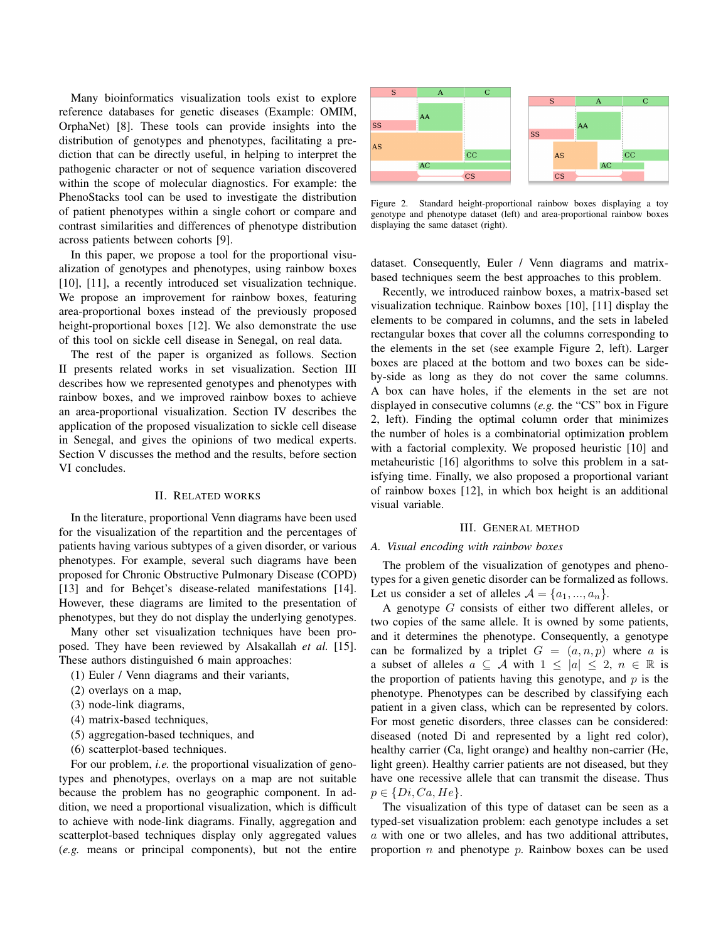Many bioinformatics visualization tools exist to explore reference databases for genetic diseases (Example: OMIM, OrphaNet) [8]. These tools can provide insights into the distribution of genotypes and phenotypes, facilitating a prediction that can be directly useful, in helping to interpret the pathogenic character or not of sequence variation discovered within the scope of molecular diagnostics. For example: the PhenoStacks tool can be used to investigate the distribution of patient phenotypes within a single cohort or compare and contrast similarities and differences of phenotype distribution across patients between cohorts [9].

In this paper, we propose a tool for the proportional visualization of genotypes and phenotypes, using rainbow boxes [10], [11], a recently introduced set visualization technique. We propose an improvement for rainbow boxes, featuring area-proportional boxes instead of the previously proposed height-proportional boxes [12]. We also demonstrate the use of this tool on sickle cell disease in Senegal, on real data.

The rest of the paper is organized as follows. Section II presents related works in set visualization. Section III describes how we represented genotypes and phenotypes with rainbow boxes, and we improved rainbow boxes to achieve an area-proportional visualization. Section IV describes the application of the proposed visualization to sickle cell disease in Senegal, and gives the opinions of two medical experts. Section V discusses the method and the results, before section VI concludes.

#### II. RELATED WORKS

In the literature, proportional Venn diagrams have been used for the visualization of the repartition and the percentages of patients having various subtypes of a given disorder, or various phenotypes. For example, several such diagrams have been proposed for Chronic Obstructive Pulmonary Disease (COPD) [13] and for Behçet's disease-related manifestations [14]. However, these diagrams are limited to the presentation of phenotypes, but they do not display the underlying genotypes.

Many other set visualization techniques have been proposed. They have been reviewed by Alsakallah *et al.* [15]. These authors distinguished 6 main approaches:

(1) Euler / Venn diagrams and their variants,

- (2) overlays on a map,
- (3) node-link diagrams,
- (4) matrix-based techniques,
- (5) aggregation-based techniques, and
- (6) scatterplot-based techniques.

For our problem, *i.e.* the proportional visualization of genotypes and phenotypes, overlays on a map are not suitable because the problem has no geographic component. In addition, we need a proportional visualization, which is difficult to achieve with node-link diagrams. Finally, aggregation and scatterplot-based techniques display only aggregated values (*e.g.* means or principal components), but not the entire



Figure 2. Standard height-proportional rainbow boxes displaying a toy genotype and phenotype dataset (left) and area-proportional rainbow boxes displaying the same dataset (right).

dataset. Consequently, Euler / Venn diagrams and matrixbased techniques seem the best approaches to this problem.

Recently, we introduced rainbow boxes, a matrix-based set visualization technique. Rainbow boxes [10], [11] display the elements to be compared in columns, and the sets in labeled rectangular boxes that cover all the columns corresponding to the elements in the set (see example Figure 2, left). Larger boxes are placed at the bottom and two boxes can be sideby-side as long as they do not cover the same columns. A box can have holes, if the elements in the set are not displayed in consecutive columns (*e.g.* the "CS" box in Figure 2, left). Finding the optimal column order that minimizes the number of holes is a combinatorial optimization problem with a factorial complexity. We proposed heuristic [10] and metaheuristic [16] algorithms to solve this problem in a satisfying time. Finally, we also proposed a proportional variant of rainbow boxes [12], in which box height is an additional visual variable.

#### III. GENERAL METHOD

#### *A. Visual encoding with rainbow boxes*

The problem of the visualization of genotypes and phenotypes for a given genetic disorder can be formalized as follows. Let us consider a set of alleles  $A = \{a_1, ..., a_n\}.$ 

A genotype G consists of either two different alleles, or two copies of the same allele. It is owned by some patients, and it determines the phenotype. Consequently, a genotype can be formalized by a triplet  $G = (a, n, p)$  where a is a subset of alleles  $a \subseteq A$  with  $1 \leq |a| \leq 2$ ,  $n \in \mathbb{R}$  is the proportion of patients having this genotype, and  $p$  is the phenotype. Phenotypes can be described by classifying each patient in a given class, which can be represented by colors. For most genetic disorders, three classes can be considered: diseased (noted Di and represented by a light red color), healthy carrier (Ca, light orange) and healthy non-carrier (He, light green). Healthy carrier patients are not diseased, but they have one recessive allele that can transmit the disease. Thus  $p \in \{Di, Ca, He\}.$ 

The visualization of this type of dataset can be seen as a typed-set visualization problem: each genotype includes a set  $a$  with one or two alleles, and has two additional attributes, proportion  $n$  and phenotype  $p$ . Rainbow boxes can be used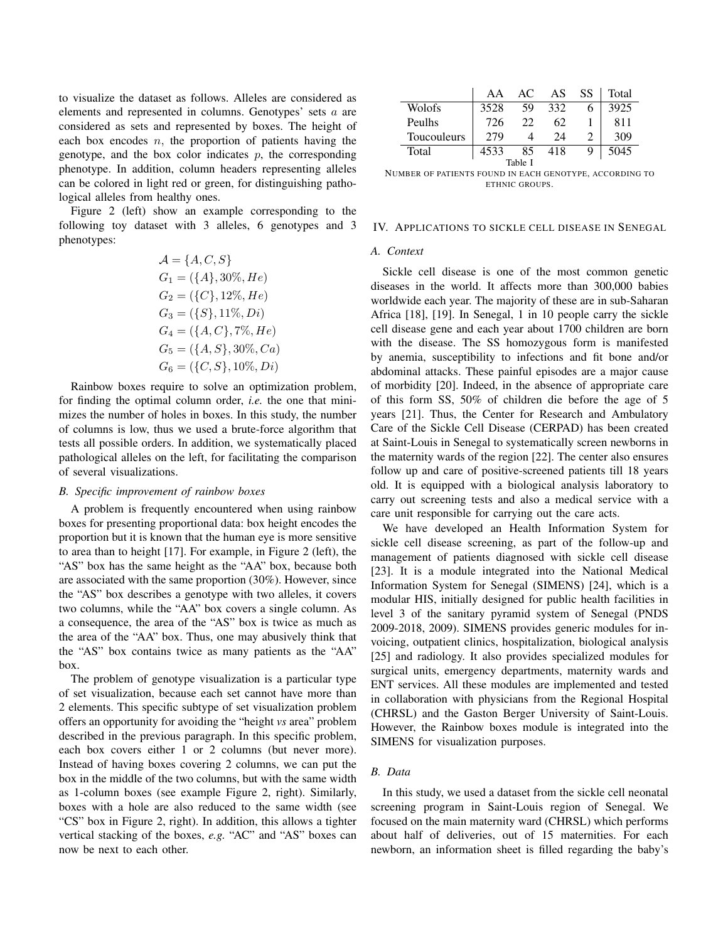to visualize the dataset as follows. Alleles are considered as elements and represented in columns. Genotypes' sets a are considered as sets and represented by boxes. The height of each box encodes  $n$ , the proportion of patients having the genotype, and the box color indicates  $p$ , the corresponding phenotype. In addition, column headers representing alleles can be colored in light red or green, for distinguishing pathological alleles from healthy ones.

Figure 2 (left) show an example corresponding to the following toy dataset with 3 alleles, 6 genotypes and 3 phenotypes:

$$
A = \{A, C, S\}
$$
  
\n
$$
G_1 = (\{A\}, 30\%, He)
$$
  
\n
$$
G_2 = (\{C\}, 12\%, He)
$$
  
\n
$$
G_3 = (\{S\}, 11\%, Di)
$$
  
\n
$$
G_4 = (\{A, C\}, 7\%, He)
$$
  
\n
$$
G_5 = (\{A, S\}, 30\%, Ca)
$$
  
\n
$$
G_6 = (\{C, S\}, 10\%, Di)
$$

Rainbow boxes require to solve an optimization problem, for finding the optimal column order, *i.e.* the one that minimizes the number of holes in boxes. In this study, the number of columns is low, thus we used a brute-force algorithm that tests all possible orders. In addition, we systematically placed pathological alleles on the left, for facilitating the comparison of several visualizations.

## *B. Specific improvement of rainbow boxes*

A problem is frequently encountered when using rainbow boxes for presenting proportional data: box height encodes the proportion but it is known that the human eye is more sensitive to area than to height [17]. For example, in Figure 2 (left), the "AS" box has the same height as the "AA" box, because both are associated with the same proportion (30%). However, since the "AS" box describes a genotype with two alleles, it covers two columns, while the "AA" box covers a single column. As a consequence, the area of the "AS" box is twice as much as the area of the "AA" box. Thus, one may abusively think that the "AS" box contains twice as many patients as the "AA" box.

The problem of genotype visualization is a particular type of set visualization, because each set cannot have more than 2 elements. This specific subtype of set visualization problem offers an opportunity for avoiding the "height *vs* area" problem described in the previous paragraph. In this specific problem, each box covers either 1 or 2 columns (but never more). Instead of having boxes covering 2 columns, we can put the box in the middle of the two columns, but with the same width as 1-column boxes (see example Figure 2, right). Similarly, boxes with a hole are also reduced to the same width (see "CS" box in Figure 2, right). In addition, this allows a tighter vertical stacking of the boxes, *e.g.* "AC" and "AS" boxes can now be next to each other.

|             | AA   | AC. | AS. | SS | Total |
|-------------|------|-----|-----|----|-------|
| Wolofs      | 3528 | 59  | 332 | 6  | 3925  |
| Peulhs      | 726  | 22  | 62  |    | 811   |
| Toucouleurs | 279  |     | 24  |    | 309   |
| Total       | 4533 | 85  | 418 |    | 5045  |
| Table I     |      |     |     |    |       |

NUMBER OF PATIENTS FOUND IN EACH GENOTYPE, ACCORDING TO ETHNIC GROUPS.

#### IV. APPLICATIONS TO SICKLE CELL DISEASE IN SENEGAL

#### *A. Context*

Sickle cell disease is one of the most common genetic diseases in the world. It affects more than 300,000 babies worldwide each year. The majority of these are in sub-Saharan Africa [18], [19]. In Senegal, 1 in 10 people carry the sickle cell disease gene and each year about 1700 children are born with the disease. The SS homozygous form is manifested by anemia, susceptibility to infections and fit bone and/or abdominal attacks. These painful episodes are a major cause of morbidity [20]. Indeed, in the absence of appropriate care of this form SS, 50% of children die before the age of 5 years [21]. Thus, the Center for Research and Ambulatory Care of the Sickle Cell Disease (CERPAD) has been created at Saint-Louis in Senegal to systematically screen newborns in the maternity wards of the region [22]. The center also ensures follow up and care of positive-screened patients till 18 years old. It is equipped with a biological analysis laboratory to carry out screening tests and also a medical service with a care unit responsible for carrying out the care acts.

We have developed an Health Information System for sickle cell disease screening, as part of the follow-up and management of patients diagnosed with sickle cell disease [23]. It is a module integrated into the National Medical Information System for Senegal (SIMENS) [24], which is a modular HIS, initially designed for public health facilities in level 3 of the sanitary pyramid system of Senegal (PNDS 2009-2018, 2009). SIMENS provides generic modules for invoicing, outpatient clinics, hospitalization, biological analysis [25] and radiology. It also provides specialized modules for surgical units, emergency departments, maternity wards and ENT services. All these modules are implemented and tested in collaboration with physicians from the Regional Hospital (CHRSL) and the Gaston Berger University of Saint-Louis. However, the Rainbow boxes module is integrated into the SIMENS for visualization purposes.

# *B. Data*

In this study, we used a dataset from the sickle cell neonatal screening program in Saint-Louis region of Senegal. We focused on the main maternity ward (CHRSL) which performs about half of deliveries, out of 15 maternities. For each newborn, an information sheet is filled regarding the baby's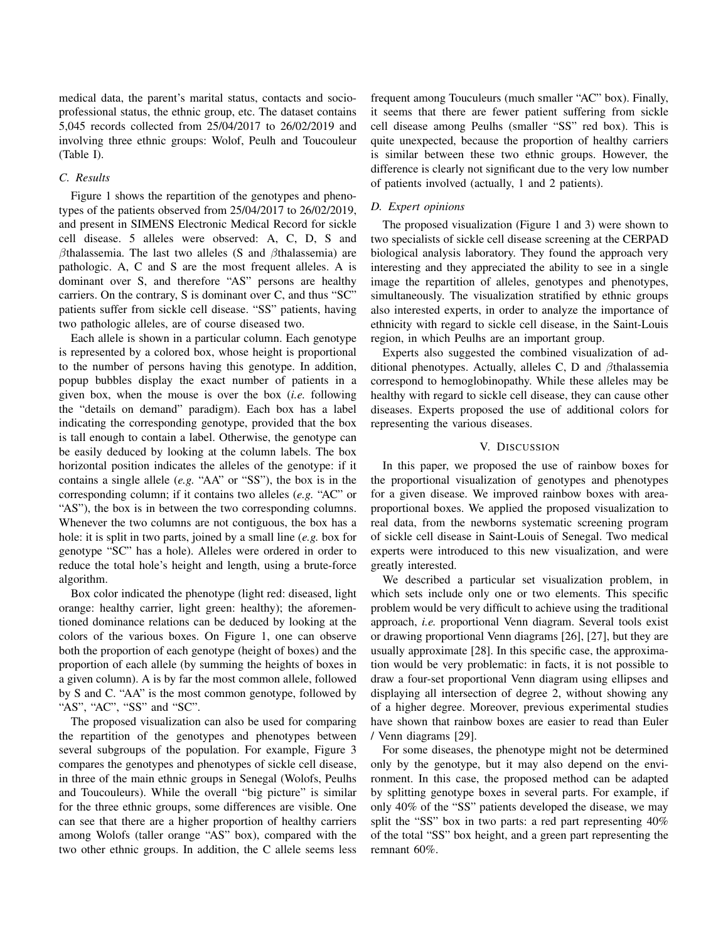medical data, the parent's marital status, contacts and socioprofessional status, the ethnic group, etc. The dataset contains 5,045 records collected from 25/04/2017 to 26/02/2019 and involving three ethnic groups: Wolof, Peulh and Toucouleur (Table I).

#### *C. Results*

Figure 1 shows the repartition of the genotypes and phenotypes of the patients observed from 25/04/2017 to 26/02/2019, and present in SIMENS Electronic Medical Record for sickle cell disease. 5 alleles were observed: A, C, D, S and  $\beta$ thalassemia. The last two alleles (S and  $\beta$ thalassemia) are pathologic. A, C and S are the most frequent alleles. A is dominant over S, and therefore "AS" persons are healthy carriers. On the contrary, S is dominant over C, and thus "SC" patients suffer from sickle cell disease. "SS" patients, having two pathologic alleles, are of course diseased two.

Each allele is shown in a particular column. Each genotype is represented by a colored box, whose height is proportional to the number of persons having this genotype. In addition, popup bubbles display the exact number of patients in a given box, when the mouse is over the box (*i.e.* following the "details on demand" paradigm). Each box has a label indicating the corresponding genotype, provided that the box is tall enough to contain a label. Otherwise, the genotype can be easily deduced by looking at the column labels. The box horizontal position indicates the alleles of the genotype: if it contains a single allele (*e.g.* "AA" or "SS"), the box is in the corresponding column; if it contains two alleles (*e.g.* "AC" or "AS"), the box is in between the two corresponding columns. Whenever the two columns are not contiguous, the box has a hole: it is split in two parts, joined by a small line (*e.g.* box for genotype "SC" has a hole). Alleles were ordered in order to reduce the total hole's height and length, using a brute-force algorithm.

Box color indicated the phenotype (light red: diseased, light orange: healthy carrier, light green: healthy); the aforementioned dominance relations can be deduced by looking at the colors of the various boxes. On Figure 1, one can observe both the proportion of each genotype (height of boxes) and the proportion of each allele (by summing the heights of boxes in a given column). A is by far the most common allele, followed by S and C. "AA" is the most common genotype, followed by "AS", "AC", "SS" and "SC".

The proposed visualization can also be used for comparing the repartition of the genotypes and phenotypes between several subgroups of the population. For example, Figure 3 compares the genotypes and phenotypes of sickle cell disease, in three of the main ethnic groups in Senegal (Wolofs, Peulhs and Toucouleurs). While the overall "big picture" is similar for the three ethnic groups, some differences are visible. One can see that there are a higher proportion of healthy carriers among Wolofs (taller orange "AS" box), compared with the two other ethnic groups. In addition, the C allele seems less frequent among Touculeurs (much smaller "AC" box). Finally, it seems that there are fewer patient suffering from sickle cell disease among Peulhs (smaller "SS" red box). This is quite unexpected, because the proportion of healthy carriers is similar between these two ethnic groups. However, the difference is clearly not significant due to the very low number of patients involved (actually, 1 and 2 patients).

#### *D. Expert opinions*

The proposed visualization (Figure 1 and 3) were shown to two specialists of sickle cell disease screening at the CERPAD biological analysis laboratory. They found the approach very interesting and they appreciated the ability to see in a single image the repartition of alleles, genotypes and phenotypes, simultaneously. The visualization stratified by ethnic groups also interested experts, in order to analyze the importance of ethnicity with regard to sickle cell disease, in the Saint-Louis region, in which Peulhs are an important group.

Experts also suggested the combined visualization of additional phenotypes. Actually, alleles C, D and βthalassemia correspond to hemoglobinopathy. While these alleles may be healthy with regard to sickle cell disease, they can cause other diseases. Experts proposed the use of additional colors for representing the various diseases.

### V. DISCUSSION

In this paper, we proposed the use of rainbow boxes for the proportional visualization of genotypes and phenotypes for a given disease. We improved rainbow boxes with areaproportional boxes. We applied the proposed visualization to real data, from the newborns systematic screening program of sickle cell disease in Saint-Louis of Senegal. Two medical experts were introduced to this new visualization, and were greatly interested.

We described a particular set visualization problem, in which sets include only one or two elements. This specific problem would be very difficult to achieve using the traditional approach, *i.e.* proportional Venn diagram. Several tools exist or drawing proportional Venn diagrams [26], [27], but they are usually approximate [28]. In this specific case, the approximation would be very problematic: in facts, it is not possible to draw a four-set proportional Venn diagram using ellipses and displaying all intersection of degree 2, without showing any of a higher degree. Moreover, previous experimental studies have shown that rainbow boxes are easier to read than Euler / Venn diagrams [29].

For some diseases, the phenotype might not be determined only by the genotype, but it may also depend on the environment. In this case, the proposed method can be adapted by splitting genotype boxes in several parts. For example, if only 40% of the "SS" patients developed the disease, we may split the "SS" box in two parts: a red part representing 40% of the total "SS" box height, and a green part representing the remnant 60%.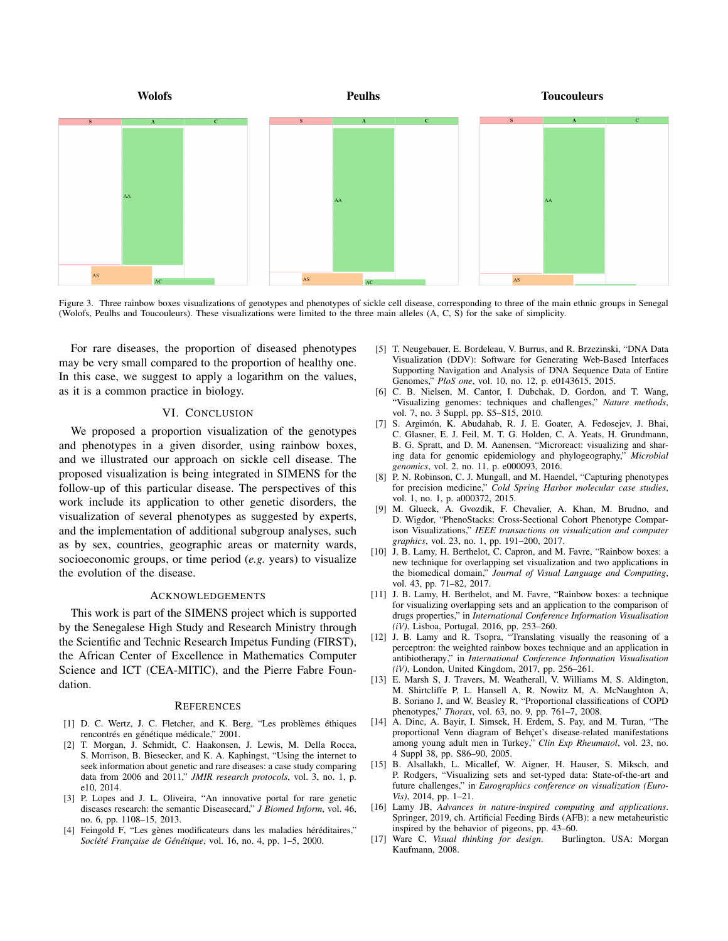

Figure 3. Three rainbow boxes visualizations of genotypes and phenotypes of sickle cell disease, corresponding to three of the main ethnic groups in Senegal (Wolofs, Peulhs and Toucouleurs). These visualizations were limited to the three main alleles (A, C, S) for the sake of simplicity.

For rare diseases, the proportion of diseased phenotypes may be very small compared to the proportion of healthy one. In this case, we suggest to apply a logarithm on the values, as it is a common practice in biology.

## VI. CONCLUSION

We proposed a proportion visualization of the genotypes and phenotypes in a given disorder, using rainbow boxes, and we illustrated our approach on sickle cell disease. The proposed visualization is being integrated in SIMENS for the follow-up of this particular disease. The perspectives of this work include its application to other genetic disorders, the visualization of several phenotypes as suggested by experts, and the implementation of additional subgroup analyses, such as by sex, countries, geographic areas or maternity wards, socioeconomic groups, or time period (*e.g.* years) to visualize the evolution of the disease.

### ACKNOWLEDGEMENTS

This work is part of the SIMENS project which is supported by the Senegalese High Study and Research Ministry through the Scientific and Technic Research Impetus Funding (FIRST), the African Center of Excellence in Mathematics Computer Science and ICT (CEA-MITIC), and the Pierre Fabre Foundation.

#### **REFERENCES**

- [1] D. C. Wertz, J. C. Fletcher, and K. Berg, "Les problèmes éthiques rencontrés en génétique médicale," 2001.
- [2] T. Morgan, J. Schmidt, C. Haakonsen, J. Lewis, M. Della Rocca, S. Morrison, B. Biesecker, and K. A. Kaphingst, "Using the internet to seek information about genetic and rare diseases: a case study comparing data from 2006 and 2011," *JMIR research protocols*, vol. 3, no. 1, p. e10, 2014.
- [3] P. Lopes and J. L. Oliveira, "An innovative portal for rare genetic diseases research: the semantic Diseasecard," *J Biomed Inform*, vol. 46, no. 6, pp. 1108–15, 2013.
- [4] Feingold F, "Les gènes modificateurs dans les maladies héréditaires," *Société Française de Génétique*, vol. 16, no. 4, pp. 1–5, 2000.
- [5] T. Neugebauer, E. Bordeleau, V. Burrus, and R. Brzezinski, "DNA Data Visualization (DDV): Software for Generating Web-Based Interfaces Supporting Navigation and Analysis of DNA Sequence Data of Entire Genomes," *PloS one*, vol. 10, no. 12, p. e0143615, 2015.
- [6] C. B. Nielsen, M. Cantor, I. Dubchak, D. Gordon, and T. Wang, "Visualizing genomes: techniques and challenges," *Nature methods*, vol. 7, no. 3 Suppl, pp. S5–S15, 2010.
- [7] S. Argimón, K. Abudahab, R. J. E. Goater, A. Fedosejev, J. Bhai, C. Glasner, E. J. Feil, M. T. G. Holden, C. A. Yeats, H. Grundmann, B. G. Spratt, and D. M. Aanensen, "Microreact: visualizing and sharing data for genomic epidemiology and phylogeography," *Microbial genomics*, vol. 2, no. 11, p. e000093, 2016.
- [8] P. N. Robinson, C. J. Mungall, and M. Haendel, "Capturing phenotypes for precision medicine," *Cold Spring Harbor molecular case studies*, vol. 1, no. 1, p. a000372, 2015.
- [9] M. Glueck, A. Gvozdik, F. Chevalier, A. Khan, M. Brudno, and D. Wigdor, "PhenoStacks: Cross-Sectional Cohort Phenotype Comparison Visualizations," *IEEE transactions on visualization and computer graphics*, vol. 23, no. 1, pp. 191–200, 2017.
- [10] J. B. Lamy, H. Berthelot, C. Capron, and M. Favre, "Rainbow boxes: a new technique for overlapping set visualization and two applications in the biomedical domain," *Journal of Visual Language and Computing*, vol. 43, pp. 71–82, 2017.
- [11] J. B. Lamy, H. Berthelot, and M. Favre, "Rainbow boxes: a technique for visualizing overlapping sets and an application to the comparison of drugs properties," in *International Conference Information Visualisation (iV)*, Lisboa, Portugal, 2016, pp. 253–260.
- [12] J. B. Lamy and R. Tsopra, "Translating visually the reasoning of a perceptron: the weighted rainbow boxes technique and an application in antibiotherapy," in *International Conference Information Visualisation (iV)*, London, United Kingdom, 2017, pp. 256–261.
- [13] E. Marsh S, J. Travers, M. Weatherall, V. Williams M, S. Aldington, M. Shirtcliffe P, L. Hansell A, R. Nowitz M, A. McNaughton A, B. Soriano J, and W. Beasley R, "Proportional classifications of COPD phenotypes," *Thorax*, vol. 63, no. 9, pp. 761–7, 2008.
- [14] A. Dinc, A. Bayir, I. Simsek, H. Erdem, S. Pay, and M. Turan, "The proportional Venn diagram of Behçet's disease-related manifestations among young adult men in Turkey," *Clin Exp Rheumatol*, vol. 23, no. 4 Suppl 38, pp. S86–90, 2005.
- [15] B. Alsallakh, L. Micallef, W. Aigner, H. Hauser, S. Miksch, and P. Rodgers, "Visualizing sets and set-typed data: State-of-the-art and future challenges," in *Eurographics conference on visualization (Euro-Vis)*, 2014, pp. 1–21.
- [16] Lamy JB, *Advances in nature-inspired computing and applications*. Springer, 2019, ch. Artificial Feeding Birds (AFB): a new metaheuristic inspired by the behavior of pigeons, pp. 43–60.
- [17] Ware C, *Visual thinking for design*. Burlington, USA: Morgan Kaufmann, 2008.